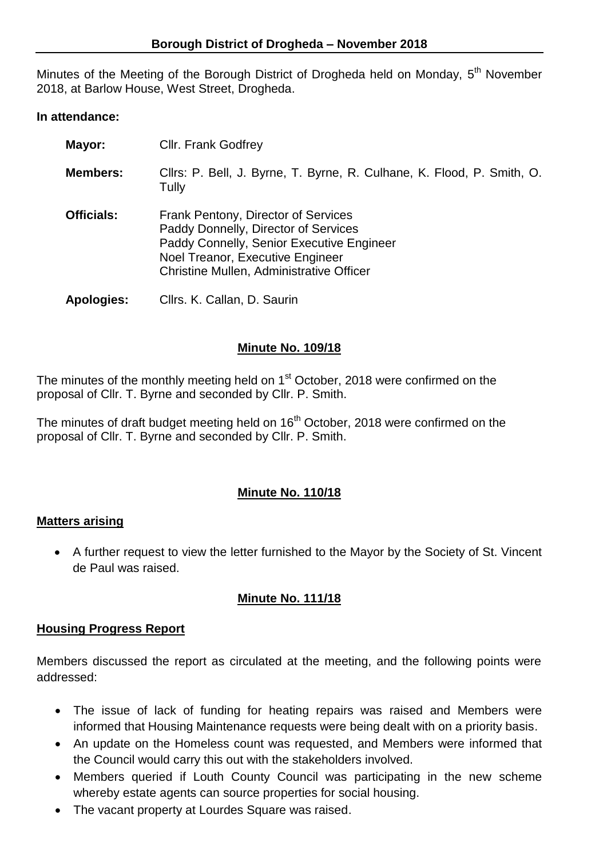Minutes of the Meeting of the Borough District of Drogheda held on Monday, 5<sup>th</sup> November 2018, at Barlow House, West Street, Drogheda.

### **In attendance:**

| Mayor:            | <b>CIIr. Frank Godfrey</b>                                                                                                                                                                               |
|-------------------|----------------------------------------------------------------------------------------------------------------------------------------------------------------------------------------------------------|
| <b>Members:</b>   | Cllrs: P. Bell, J. Byrne, T. Byrne, R. Culhane, K. Flood, P. Smith, O.<br>Tully                                                                                                                          |
| <b>Officials:</b> | Frank Pentony, Director of Services<br>Paddy Donnelly, Director of Services<br>Paddy Connelly, Senior Executive Engineer<br>Noel Treanor, Executive Engineer<br>Christine Mullen, Administrative Officer |
| <b>Apologies:</b> | Cllrs. K. Callan, D. Saurin                                                                                                                                                                              |

### **Minute No. 109/18**

The minutes of the monthly meeting held on 1<sup>st</sup> October, 2018 were confirmed on the proposal of Cllr. T. Byrne and seconded by Cllr. P. Smith.

The minutes of draft budget meeting held on 16<sup>th</sup> October, 2018 were confirmed on the proposal of Cllr. T. Byrne and seconded by Cllr. P. Smith.

# **Minute No. 110/18**

# **Matters arising**

 A further request to view the letter furnished to the Mayor by the Society of St. Vincent de Paul was raised.

# **Minute No. 111/18**

# **Housing Progress Report**

Members discussed the report as circulated at the meeting, and the following points were addressed:

- The issue of lack of funding for heating repairs was raised and Members were informed that Housing Maintenance requests were being dealt with on a priority basis.
- An update on the Homeless count was requested, and Members were informed that the Council would carry this out with the stakeholders involved.
- Members queried if Louth County Council was participating in the new scheme whereby estate agents can source properties for social housing.
- The vacant property at Lourdes Square was raised.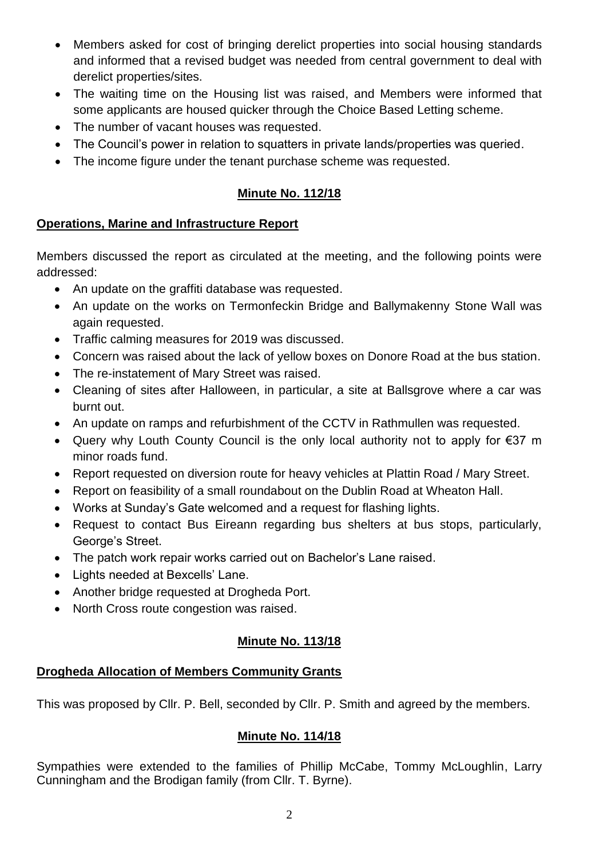- Members asked for cost of bringing derelict properties into social housing standards and informed that a revised budget was needed from central government to deal with derelict properties/sites.
- The waiting time on the Housing list was raised, and Members were informed that some applicants are housed quicker through the Choice Based Letting scheme.
- The number of vacant houses was requested.
- The Council's power in relation to squatters in private lands/properties was queried.
- The income figure under the tenant purchase scheme was requested.

# **Minute No. 112/18**

# **Operations, Marine and Infrastructure Report**

Members discussed the report as circulated at the meeting, and the following points were addressed:

- An update on the graffiti database was requested.
- An update on the works on Termonfeckin Bridge and Ballymakenny Stone Wall was again requested.
- Traffic calming measures for 2019 was discussed.
- Concern was raised about the lack of yellow boxes on Donore Road at the bus station.
- The re-instatement of Mary Street was raised.
- Cleaning of sites after Halloween, in particular, a site at Ballsgrove where a car was burnt out.
- An update on ramps and refurbishment of the CCTV in Rathmullen was requested.
- Query why Louth County Council is the only local authority not to apply for €37 m minor roads fund.
- Report requested on diversion route for heavy vehicles at Plattin Road / Mary Street.
- Report on feasibility of a small roundabout on the Dublin Road at Wheaton Hall.
- Works at Sunday's Gate welcomed and a request for flashing lights.
- Request to contact Bus Eireann regarding bus shelters at bus stops, particularly, George's Street.
- The patch work repair works carried out on Bachelor's Lane raised.
- Lights needed at Bexcells' Lane.
- Another bridge requested at Drogheda Port.
- North Cross route congestion was raised.

# **Minute No. 113/18**

# **Drogheda Allocation of Members Community Grants**

This was proposed by Cllr. P. Bell, seconded by Cllr. P. Smith and agreed by the members.

# **Minute No. 114/18**

Sympathies were extended to the families of Phillip McCabe, Tommy McLoughlin, Larry Cunningham and the Brodigan family (from Cllr. T. Byrne).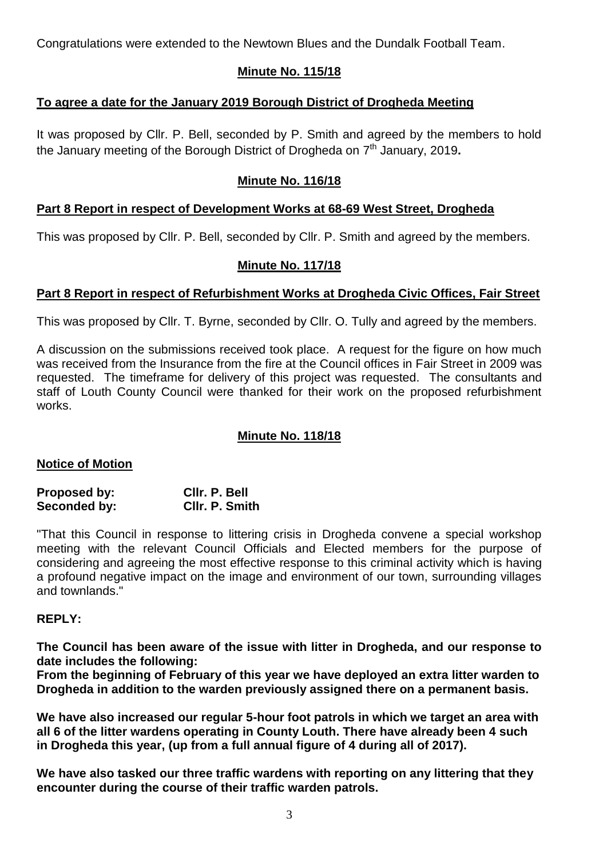Congratulations were extended to the Newtown Blues and the Dundalk Football Team.

### **Minute No. 115/18**

# **To agree a date for the January 2019 Borough District of Drogheda Meeting**

It was proposed by Cllr. P. Bell, seconded by P. Smith and agreed by the members to hold the January meeting of the Borough District of Drogheda on 7 th January, 2019**.**

### **Minute No. 116/18**

# **Part 8 Report in respect of Development Works at 68-69 West Street, Drogheda**

This was proposed by Cllr. P. Bell, seconded by Cllr. P. Smith and agreed by the members.

### **Minute No. 117/18**

### **Part 8 Report in respect of Refurbishment Works at Drogheda Civic Offices, Fair Street**

This was proposed by Cllr. T. Byrne, seconded by Cllr. O. Tully and agreed by the members.

A discussion on the submissions received took place. A request for the figure on how much was received from the Insurance from the fire at the Council offices in Fair Street in 2009 was requested. The timeframe for delivery of this project was requested. The consultants and staff of Louth County Council were thanked for their work on the proposed refurbishment works.

### **Minute No. 118/18**

### **Notice of Motion**

| Proposed by: | Clir. P. Bell         |
|--------------|-----------------------|
| Seconded by: | <b>CIIr. P. Smith</b> |

"That this Council in response to littering crisis in Drogheda convene a special workshop meeting with the relevant Council Officials and Elected members for the purpose of considering and agreeing the most effective response to this criminal activity which is having a profound negative impact on the image and environment of our town, surrounding villages and townlands."

### **REPLY:**

**The Council has been aware of the issue with litter in Drogheda, and our response to date includes the following:**

**From the beginning of February of this year we have deployed an extra litter warden to Drogheda in addition to the warden previously assigned there on a permanent basis.** 

**We have also increased our regular 5-hour foot patrols in which we target an area with all 6 of the litter wardens operating in County Louth. There have already been 4 such in Drogheda this year, (up from a full annual figure of 4 during all of 2017).** 

**We have also tasked our three traffic wardens with reporting on any littering that they encounter during the course of their traffic warden patrols.**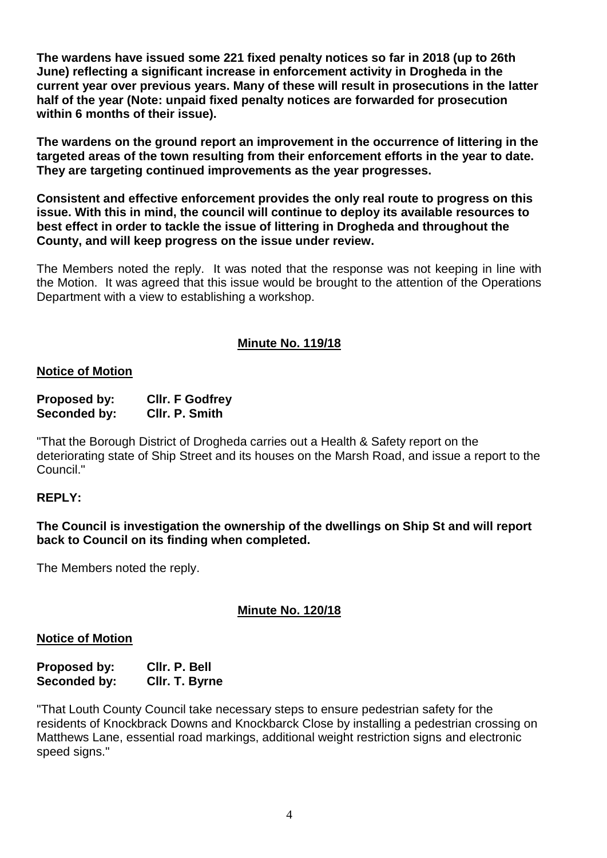**The wardens have issued some 221 fixed penalty notices so far in 2018 (up to 26th June) reflecting a significant increase in enforcement activity in Drogheda in the current year over previous years. Many of these will result in prosecutions in the latter half of the year (Note: unpaid fixed penalty notices are forwarded for prosecution within 6 months of their issue).** 

**The wardens on the ground report an improvement in the occurrence of littering in the targeted areas of the town resulting from their enforcement efforts in the year to date. They are targeting continued improvements as the year progresses.**

**Consistent and effective enforcement provides the only real route to progress on this issue. With this in mind, the council will continue to deploy its available resources to best effect in order to tackle the issue of littering in Drogheda and throughout the County, and will keep progress on the issue under review.**

The Members noted the reply. It was noted that the response was not keeping in line with the Motion. It was agreed that this issue would be brought to the attention of the Operations Department with a view to establishing a workshop.

### **Minute No. 119/18**

#### **Notice of Motion**

| <b>Proposed by:</b> | <b>CIIr. F Godfrey</b> |
|---------------------|------------------------|
| Seconded by:        | CIIr. P. Smith         |

"That the Borough District of Drogheda carries out a Health & Safety report on the deteriorating state of Ship Street and its houses on the Marsh Road, and issue a report to the Council."

### **REPLY:**

**The Council is investigation the ownership of the dwellings on Ship St and will report back to Council on its finding when completed.**

The Members noted the reply.

### **Minute No. 120/18**

#### **Notice of Motion**

| <b>Proposed by:</b> | CIIr. P. Bell  |
|---------------------|----------------|
| Seconded by:        | CIIr. T. Byrne |

"That Louth County Council take necessary steps to ensure pedestrian safety for the residents of Knockbrack Downs and Knockbarck Close by installing a pedestrian crossing on Matthews Lane, essential road markings, additional weight restriction signs and electronic speed signs."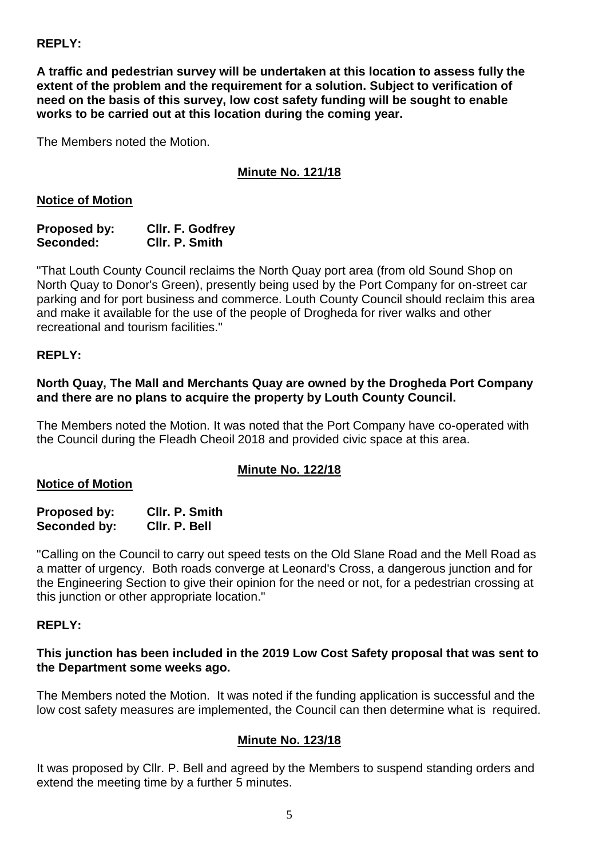### **REPLY:**

**A traffic and pedestrian survey will be undertaken at this location to assess fully the extent of the problem and the requirement for a solution. Subject to verification of need on the basis of this survey, low cost safety funding will be sought to enable works to be carried out at this location during the coming year.**

The Members noted the Motion.

# **Minute No. 121/18**

### **Notice of Motion**

#### **Proposed by: Cllr. F. Godfrey Seconded: Cllr. P. Smith**

"That Louth County Council reclaims the North Quay port area (from old Sound Shop on North Quay to Donor's Green), presently being used by the Port Company for on-street car parking and for port business and commerce. Louth County Council should reclaim this area and make it available for the use of the people of Drogheda for river walks and other recreational and tourism facilities."

### **REPLY:**

### **North Quay, The Mall and Merchants Quay are owned by the Drogheda Port Company and there are no plans to acquire the property by Louth County Council.**

The Members noted the Motion. It was noted that the Port Company have co-operated with the Council during the Fleadh Cheoil 2018 and provided civic space at this area.

# **Minute No. 122/18**

### **Notice of Motion**

| Proposed by: | CIIr. P. Smith |
|--------------|----------------|
| Seconded by: | CIIr. P. Bell  |

"Calling on the Council to carry out speed tests on the Old Slane Road and the Mell Road as a matter of urgency. Both roads converge at Leonard's Cross, a dangerous junction and for the Engineering Section to give their opinion for the need or not, for a pedestrian crossing at this junction or other appropriate location."

### **REPLY:**

### **This junction has been included in the 2019 Low Cost Safety proposal that was sent to the Department some weeks ago.**

The Members noted the Motion. It was noted if the funding application is successful and the low cost safety measures are implemented, the Council can then determine what is required.

# **Minute No. 123/18**

It was proposed by Cllr. P. Bell and agreed by the Members to suspend standing orders and extend the meeting time by a further 5 minutes.